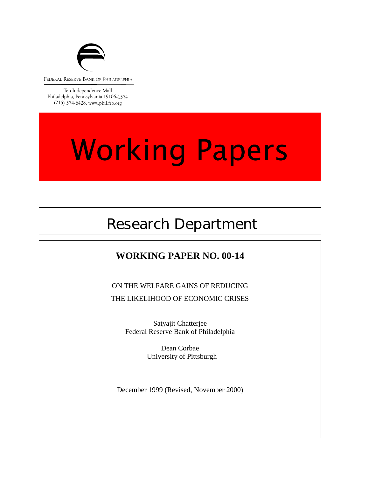

FEDERAL RESERVE BANK OF PHILADELPHIA

Ten Independence Mall Philadelphia, Pennsylvania 19106-1574 (215) 574-6428, www.phil.frb.org

# **Working Papers**

# Research Department

### **WORKING PAPER NO. 00-14**

ON THE WELFARE GAINS OF REDUCING THE LIKELIHOOD OF ECONOMIC CRISES

> Satyajit Chatterjee Federal Reserve Bank of Philadelphia

> > $\sum_{n=1}^{\infty}$ Dean Corbae University of Pittsburgh

December 1999 (Revised, November 2000)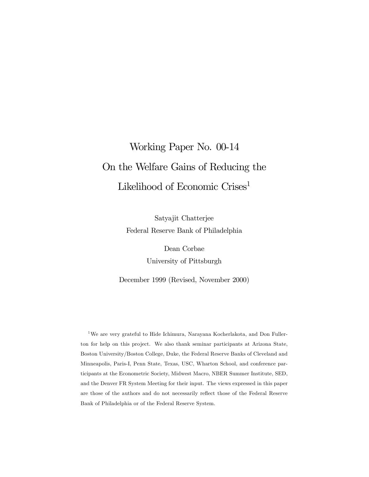# Working Paper No. 00-14 On the Welfare Gains of Reducing the Likelihood of Economic Crises<sup>1</sup>

Satyajit Chatterjee Federal Reserve Bank of Philadelphia

> Dean Corbae University of Pittsburgh

December 1999 (Revised, November 2000)

<sup>1</sup>We are very grateful to Hide Ichimura, Narayana Kocherlakota, and Don Fullerton for help on this project. We also thank seminar participants at Arizona State, Boston University/Boston College, Duke, the Federal Reserve Banks of Cleveland and Minneapolis, Paris-I, Penn State, Texas, USC, Wharton School, and conference participants at the Econometric Society, Midwest Macro, NBER Summer Institute, SED, and the Denver FR System Meeting for their input. The views expressed in this paper are those of the authors and do not necessarily reflect those of the Federal Reserve Bank of Philadelphia or of the Federal Reserve System.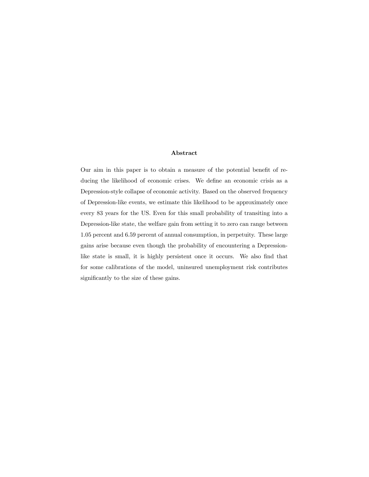#### Abstract

Our aim in this paper is to obtain a measure of the potential benefit of reducing the likelihood of economic crises. We define an economic crisis as a Depression-style collapse of economic activity. Based on the observed frequency of Depression-like events, we estimate this likelihood to be approximately once every 83 years for the US. Even for this small probability of transiting into a Depression-like state, the welfare gain from setting it to zero can range between 1.05 percent and 6.59 percent of annual consumption, in perpetuity. These large gains arise because even though the probability of encountering a Depressionlike state is small, it is highly persistent once it occurs. We also find that for some calibrations of the model, uninsured unemployment risk contributes significantly to the size of these gains.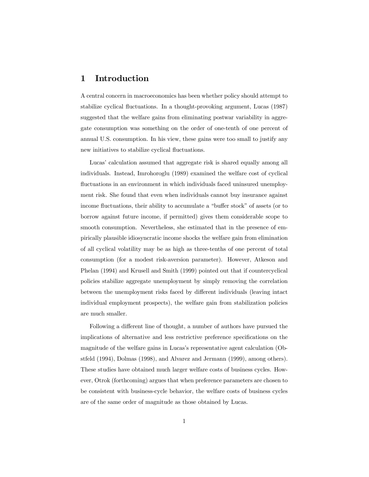#### 1 Introduction

A central concern in macroeconomics has been whether policy should attempt to stabilize cyclical fluctuations. In a thought-provoking argument, Lucas (1987) suggested that the welfare gains from eliminating postwar variability in aggregate consumption was something on the order of one-tenth of one percent of annual U.S. consumption. In his view, these gains were too small to justify any new initiatives to stabilize cyclical fluctuations.

Lucas' calculation assumed that aggregate risk is shared equally among all individuals. Instead, Imrohoroglu (1989) examined the welfare cost of cyclical fluctuations in an environment in which individuals faced uninsured unemployment risk. She found that even when individuals cannot buy insurance against income fluctuations, their ability to accumulate a "buffer stock" of assets (or to borrow against future income, if permitted) gives them considerable scope to smooth consumption. Nevertheless, she estimated that in the presence of empirically plausible idiosyncratic income shocks the welfare gain from elimination of all cyclical volatility may be as high as three-tenths of one percent of total consumption (for a modest risk-aversion parameter). However, Atkeson and Phelan (1994) and Krusell and Smith (1999) pointed out that if countercyclical policies stabilize aggregate unemployment by simply removing the correlation between the unemployment risks faced by different individuals (leaving intact individual employment prospects), the welfare gain from stabilization policies are much smaller.

Following a different line of thought, a number of authors have pursued the implications of alternative and less restrictive preference specifications on the magnitude of the welfare gains in Lucas's representative agent calculation (Obstfeld (1994), Dolmas (1998), and Alvarez and Jermann (1999), among others). These studies have obtained much larger welfare costs of business cycles. However, Otrok (forthcoming) argues that when preference parameters are chosen to be consistent with business-cycle behavior, the welfare costs of business cycles are of the same order of magnitude as those obtained by Lucas.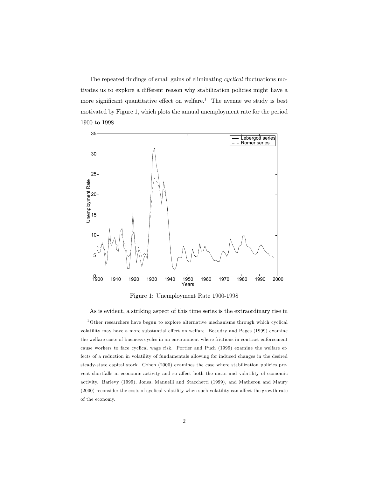The repeated findings of small gains of eliminating cyclical fluctuations motivates us to explore a different reason why stabilization policies might have a more significant quantitative effect on welfare.<sup>1</sup> The avenue we study is best motivated by Figure 1, which plots the annual unemployment rate for the period 1900 to 1998.



Figure 1: Unemployment Rate 1900-1998

As is evident, a striking aspect of this time series is the extraordinary rise in

<sup>&</sup>lt;sup>1</sup>Other researchers have begun to explore alternative mechanisms through which cyclical volatility may have a more substantial effect on welfare. Beaudry and Pages (1999) examine the welfare costs of business cycles in an environment where frictions in contract enforcement cause workers to face cyclical wage risk. Portier and Puch (1999) examine the welfare effects of a reduction in volatility of fundamentals allowing for induced changes in the desired steady-state capital stock. Cohen (2000) examines the case where stabilization policies prevent shortfalls in economic activity and so affect both the mean and volatility of economic activity. Barlevy (1999), Jones, Manuelli and Stacchetti (1999), and Matheron and Maury (2000) reconsider the costs of cyclical volatility when such volatility can affect the growth rate of the economy.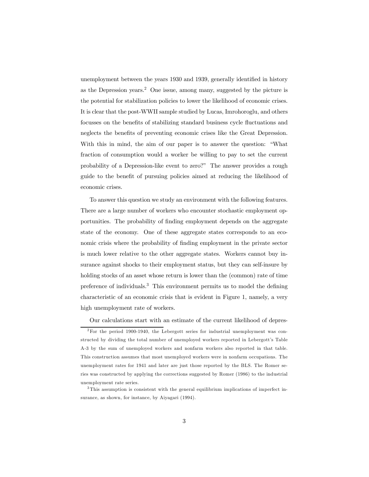unemployment between the years 1930 and 1939, generally identified in history as the Depression years.<sup>2</sup> One issue, among many, suggested by the picture is the potential for stabilization policies to lower the likelihood of economic crises. It is clear that the post-WWII sample studied by Lucas, Imrohoroglu, and others focusses on the benefits of stabilizing standard business cycle fluctuations and neglects the benefits of preventing economic crises like the Great Depression. With this in mind, the aim of our paper is to answer the question: "What fraction of consumption would a worker be willing to pay to set the current probability of a Depression-like event to zero?" The answer provides a rough guide to the benefit of pursuing policies aimed at reducing the likelihood of economic crises.

To answer this question we study an environment with the following features. There are a large number of workers who encounter stochastic employment opportunities. The probability of finding employment depends on the aggregate state of the economy. One of these aggregate states corresponds to an economic crisis where the probability of finding employment in the private sector is much lower relative to the other aggregate states. Workers cannot buy insurance against shocks to their employment status, but they can self-insure by holding stocks of an asset whose return is lower than the (common) rate of time preference of individuals.3 This environment permits us to model the defining characteristic of an economic crisis that is evident in Figure 1, namely, a very high unemployment rate of workers.

Our calculations start with an estimate of the current likelihood of depres-

<sup>2</sup>For the period 1900-1940, the Lebergott series for industrial unemployment was constructed by dividing the total number of unemployed workers reported in Lebergott's Table A-3 by the sum of unemployed workers and nonfarm workers also reported in that table. This construction assumes that most unemployed workers were in nonfarm occupations. The unemployment rates for 1941 and later are just those reported by the BLS. The Romer series was constructed by applying the corrections suggested by Romer (1986) to the industrial unemployment rate series.

<sup>&</sup>lt;sup>3</sup>This assumption is consistent with the general equilibrium implications of imperfect insurance, as shown, for instance, by Aiyagari (1994).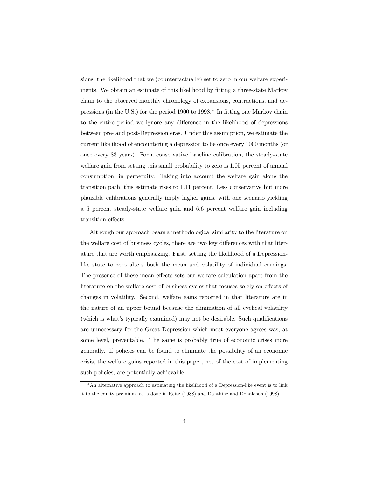sions; the likelihood that we (counterfactually) set to zero in our welfare experiments. We obtain an estimate of this likelihood by fitting a three-state Markov chain to the observed monthly chronology of expansions, contractions, and depressions (in the U.S.) for the period 1900 to 1998.4 In fitting one Markov chain to the entire period we ignore any difference in the likelihood of depressions between pre- and post-Depression eras. Under this assumption, we estimate the current likelihood of encountering a depression to be once every 1000 months (or once every 83 years). For a conservative baseline calibration, the steady-state welfare gain from setting this small probability to zero is 1.05 percent of annual consumption, in perpetuity. Taking into account the welfare gain along the transition path, this estimate rises to 1.11 percent. Less conservative but more plausible calibrations generally imply higher gains, with one scenario yielding a 6 percent steady-state welfare gain and 6.6 percent welfare gain including transition effects.

Although our approach bears a methodological similarity to the literature on the welfare cost of business cycles, there are two key differences with that literature that are worth emphasizing. First, setting the likelihood of a Depressionlike state to zero alters both the mean and volatility of individual earnings. The presence of these mean effects sets our welfare calculation apart from the literature on the welfare cost of business cycles that focuses solely on effects of changes in volatility. Second, welfare gains reported in that literature are in the nature of an upper bound because the elimination of all cyclical volatility (which is what's typically examined) may not be desirable. Such qualifications are unnecessary for the Great Depression which most everyone agrees was, at some level, preventable. The same is probably true of economic crises more generally. If policies can be found to eliminate the possibility of an economic crisis, the welfare gains reported in this paper, net of the cost of implementing such policies, are potentially achievable.

<sup>4</sup>An alternative approach to estimating the likelihood of a Depression-like event is to link it to the equity premium, as is done in Reitz (1988) and Danthine and Donaldson (1998).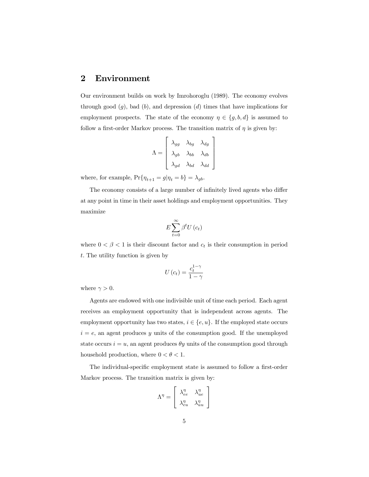#### 2 Environment

Our environment builds on work by Imrohoroglu (1989). The economy evolves through good  $(g)$ , bad  $(b)$ , and depression  $(d)$  times that have implications for employment prospects. The state of the economy  $\eta \in \{g, b, d\}$  is assumed to follow a first-order Markov process. The transition matrix of  $\eta$  is given by:

$$
\Lambda = \begin{bmatrix} \lambda_{gg} & \lambda_{bg} & \lambda_{dg} \\ \lambda_{gb} & \lambda_{bb} & \lambda_{db} \\ \lambda_{gd} & \lambda_{bd} & \lambda_{dd} \end{bmatrix}
$$

where, for example,  $\Pr\{\eta_{t+1} = g|\eta_t = b\} = \lambda_{gb}.$ 

The economy consists of a large number of infinitely lived agents who differ at any point in time in their asset holdings and employment opportunities. They maximize

$$
E\sum_{t=0}^{\infty}\beta^{t}U\left(c_{t}\right)
$$

where  $0 < \beta < 1$  is their discount factor and  $c_t$  is their consumption in period t. The utility function is given by

$$
U\left(c_{t}\right) = \frac{c_{t}^{1-\gamma}}{1-\gamma}
$$

where  $\gamma > 0$ .

Agents are endowed with one indivisible unit of time each period. Each agent receives an employment opportunity that is independent across agents. The employment opportunity has two states,  $i \in \{e, u\}$ . If the employed state occurs  $i = e$ , an agent produces y units of the consumption good. If the unemployed state occurs  $i = u$ , an agent produces  $\theta y$  units of the consumption good through household production, where  $0 < \theta < 1$ .

The individual-specific employment state is assumed to follow a first-order Markov process. The transition matrix is given by:

$$
\Lambda^\eta = \left[ \begin{array}{cc} \lambda_{ee}^\eta & \lambda_{ue}^\eta \\ \lambda_{eu}^\eta & \lambda_{uu}^\eta \end{array} \right]
$$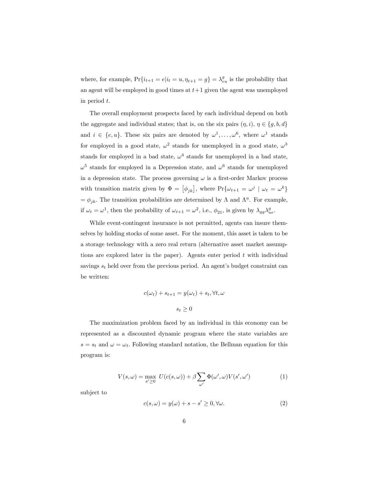where, for example,  $Pr{i_{t+1} = e|i_t = u, \eta_{t+1} = g} = \lambda_{eu}^g$  is the probability that an agent will be employed in good times at  $t+1$  given the agent was unemployed in period t.

The overall employment prospects faced by each individual depend on both the aggregate and individual states; that is, on the six pairs  $(\eta, i)$ ,  $\eta \in \{g, b, d\}$ and  $i \in \{e, u\}$ . These six pairs are denoted by  $\omega^1, \ldots, \omega^6$ , where  $\omega^1$  stands for employed in a good state,  $\omega^2$  stands for unemployed in a good state,  $\omega^3$ stands for employed in a bad state,  $\omega^4$  stands for unemployed in a bad state,  $\omega^5$  stands for employed in a Depression state, and  $\omega^6$  stands for unemployed in a depression state. The process governing  $\omega$  is a first-order Markov process with transition matrix given by  $\Phi = [\phi_{jk}]$ , where  $Pr{\omega_{t+1} = \omega^j \mid \omega_t = \omega^k}$  $=\phi_{jk}$ . The transition probabilities are determined by  $\Lambda$  and  $\Lambda^{\eta}$ . For example, if  $\omega_t = \omega^1$ , then the probability of  $\omega_{t+1} = \omega^2$ , i.e.,  $\phi_{21}$ , is given by  $\lambda_{gg} \lambda_{ue}^g$ .

While event-contingent insurance is not permitted, agents can insure themselves by holding stocks of some asset. For the moment, this asset is taken to be a storage technology with a zero real return (alternative asset market assumptions are explored later in the paper). Agents enter period  $t$  with individual savings  $s_t$  held over from the previous period. An agent's budget constraint can be written:

$$
c(\omega_t) + s_{t+1} = y(\omega_t) + s_t, \forall t, \omega
$$

$$
s_t \ge 0
$$

The maximization problem faced by an individual in this economy can be represented as a discounted dynamic program where the state variables are  $s = s_t$  and  $\omega = \omega_t$ . Following standard notation, the Bellman equation for this program is:

$$
V(s,\omega) = \max_{s' \ge 0} U(c(s,\omega)) + \beta \sum_{\omega'} \Phi(\omega',\omega)V(s',\omega')
$$
 (1)

subject to

$$
c(s,\omega) = y(\omega) + s - s' \ge 0, \forall \omega.
$$
 (2)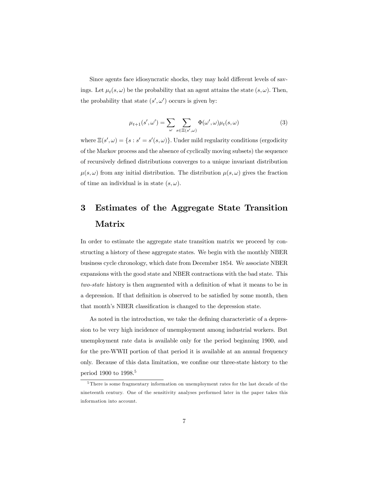Since agents face idiosyncratic shocks, they may hold different levels of savings. Let  $\mu_t(s, \omega)$  be the probability that an agent attains the state  $(s, \omega)$ . Then, the probability that state  $(s', \omega')$  occurs is given by:

$$
\mu_{t+1}(s', \omega') = \sum_{\omega} \sum_{s \in \Xi(s', \omega)} \Phi(\omega', \omega) \mu_t(s, \omega)
$$
 (3)

where  $\Xi(s', \omega) = \{s : s' = s'(s, \omega)\}\.$  Under mild regularity conditions (ergodicity of the Markov process and the absence of cyclically moving subsets) the sequence of recursively defined distributions converges to a unique invariant distribution  $\mu(s,\omega)$  from any initial distribution. The distribution  $\mu(s,\omega)$  gives the fraction of time an individual is in state  $(s, \omega)$ .

## 3 Estimates of the Aggregate State Transition Matrix

In order to estimate the aggregate state transition matrix we proceed by constructing a history of these aggregate states. We begin with the monthly NBER business cycle chronology, which date from December 1854. We associate NBER expansions with the good state and NBER contractions with the bad state. This two-state history is then augmented with a definition of what it means to be in a depression. If that definition is observed to be satisfied by some month, then that month's NBER classification is changed to the depression state.

As noted in the introduction, we take the defining characteristic of a depression to be very high incidence of unemployment among industrial workers. But unemployment rate data is available only for the period beginning 1900, and for the pre-WWII portion of that period it is available at an annual frequency only. Because of this data limitation, we confine our three-state history to the period 1900 to 1998.5

<sup>&</sup>lt;sup>5</sup>There is some fragmentary information on unemployment rates for the last decade of the nineteenth century. One of the sensitivity analyses performed later in the paper takes this information into account.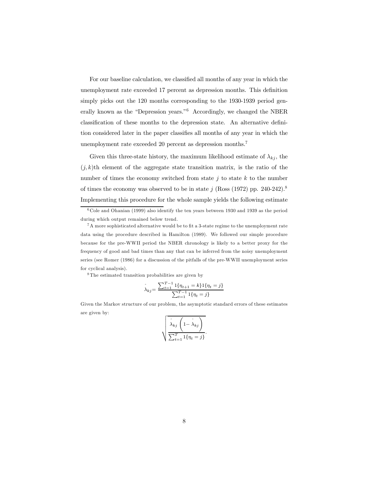For our baseline calculation, we classified all months of any year in which the unemployment rate exceeded 17 percent as depression months. This definition simply picks out the 120 months corresponding to the 1930-1939 period generally known as the "Depression years."<sup>6</sup> Accordingly, we changed the NBER classification of these months to the depression state. An alternative definition considered later in the paper classifies all months of any year in which the unemployment rate exceeded 20 percent as depression months.7

Given this three-state history, the maximum likelihood estimate of  $\lambda_{kj}$ , the  $(j, k)$ th element of the aggregate state transition matrix, is the ratio of the number of times the economy switched from state  $j$  to state  $k$  to the number of times the economy was observed to be in state j (Ross (1972) pp. 240-242).<sup>8</sup> Implementing this procedure for the whole sample yields the following estimate

<sup>8</sup> The estimated transition probabilities are given by

$$
\hat{\lambda}_{kj} = \frac{\sum_{t=1}^{T-1} 1\{\eta_{t+1} = k\} 1\{\eta_t = j\}}{\sum_{t=1}^{T-1} 1\{\eta_t = j\}}
$$

Given the Markov structure of our problem, the asymptotic standard errors of these estimates are given by:

$$
\sqrt{\frac{\hat{\lambda}_{kj}\left(1-\hat{\lambda}_{kj}\right)}{\sum_{t=1}^{T}1\{\eta_t=j\}}}.
$$

 $6$  Cole and Ohanian (1999) also identify the ten years between 1930 and 1939 as the period during which output remained below trend.

<sup>7</sup>A more sophisticated alternative would be to fit a 3-state regime to the unemployment rate data using the procedure described in Hamilton (1989). We followed our simple procedure because for the pre-WWII period the NBER chronology is likely to a better proxy for the frequency of good and bad times than any that can be inferred from the noisy unemployment series (see Romer (1986) for a discussion of the pitfalls of the pre-WWII unemployment series for cyclical analysis).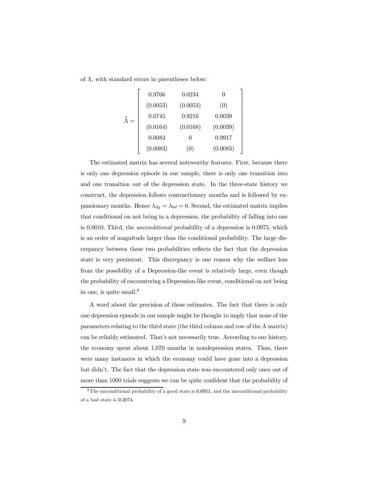of  $\Lambda$ , with standard errors in parentheses below:

$$
\widehat{\Lambda} = \begin{bmatrix}\n0.9766 & 0.0234 & 0 \\
(0.0053) & (0.0053) & (0) \\
0.0745 & 0.9216 & 0.0039 \\
(0.0164) & (0.0168) & (0.0039) \\
0.0083 & 0 & 0.9917 \\
(0.0083) & (0) & (0.0083)\n\end{bmatrix}
$$

The estimated matrix has several noteworthy features. First, because there is only one depression episode in our sample, there is only one transition into and one transition out of the depression state. In the three-state history we construct, the depression follows contractionary months and is followed by expansionary months. Hence  $\lambda_{dg} = \lambda_{bd} = 0$ . Second, the estimated matrix implies that conditional on not being in a depression, the probability of falling into one is 0.0010. Third, the unconditional probability of a depression is 0.0975, which is an order of magnitude larger than the conditional probability. The large discrepancy between these two probabilities reflects the fact that the depression state is very persistent. This discrepancy is one reason why the welfare loss from the possibility of a Depression-like event is relatively large, even though the probability of encountering a Depression-like event, conditional on not being in one, is quite small. $9$ 

A word about the precision of these estimates. The fact that there is only one depression episode in our sample might be thought to imply that none of the parameters relating to the third state (the third column and row of the  $\Lambda$  matrix) can be reliably estimated. That's not necessarily true. According to our history, the economy spent about 1,070 months in nondepression states. Thus, there were many instances in which the economy could have gone into a depression but didn't. The fact that the depression state was encountered only once out of more than 1000 trials suggests we can be quite confident that the probability of

<sup>&</sup>lt;sup>9</sup> The unconditional probability of a good state is 0.6951, and the unconditional probability of a bad state is 0.2074.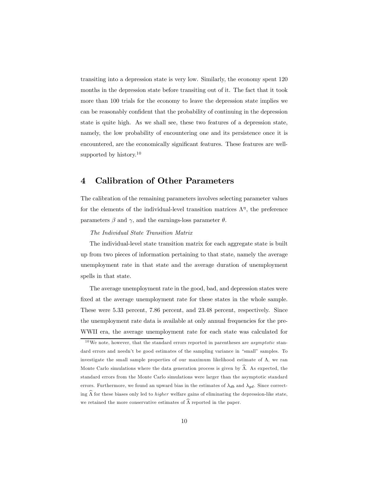transiting into a depression state is very low. Similarly, the economy spent 120 months in the depression state before transiting out of it. The fact that it took more than 100 trials for the economy to leave the depression state implies we can be reasonably confident that the probability of continuing in the depression state is quite high. As we shall see, these two features of a depression state, namely, the low probability of encountering one and its persistence once it is encountered, are the economically significant features. These features are wellsupported by history. $10$ 

#### 4 Calibration of Other Parameters

The calibration of the remaining parameters involves selecting parameter values for the elements of the individual-level transition matrices  $\Lambda^{\eta}$ , the preference parameters  $\beta$  and  $\gamma$ , and the earnings-loss parameter  $\theta$ .

#### The Individual State Transition Matrix

The individual-level state transition matrix for each aggregate state is built up from two pieces of information pertaining to that state, namely the average unemployment rate in that state and the average duration of unemployment spells in that state.

The average unemployment rate in the good, bad, and depression states were fixed at the average unemployment rate for these states in the whole sample. These were 5.33 percent, 7.86 percent, and 23.48 percent, respectively. Since the unemployment rate data is available at only annual frequencies for the pre-WWII era, the average unemployment rate for each state was calculated for

 $10$ We note, however, that the standard errors reported in parentheses are *asymptotic* standard errors and needn't be good estimates of the sampling variance in "small" samples. To investigate the small sample properties of our maximum likelihood estimate of  $\Lambda$ , we ran Monte Carlo simulations where the data generation process is given by  $\Lambda$ . As expected, the standard errors from the Monte Carlo simulations were larger than the asymptotic standard errors. Furthermore, we found an upward bias in the estimates of  $\lambda_{db}$  and  $\lambda_{qd}$ . Since correcting  $\widehat{\Lambda}$  for these biases only led to *higher* welfare gains of eliminating the depression-like state, we retained the more conservative estimates of  $\widehat{\Lambda}$  reported in the paper.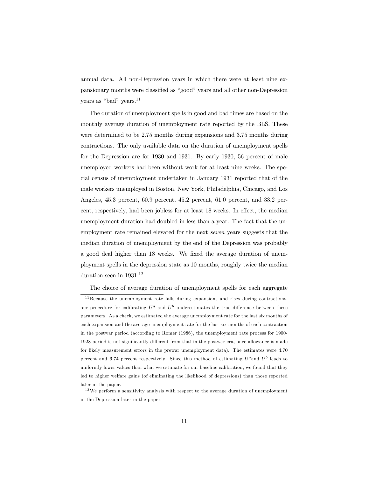annual data. All non-Depression years in which there were at least nine expansionary months were classified as "good" years and all other non-Depression years as "bad" years.<sup>11</sup>

The duration of unemployment spells in good and bad times are based on the monthly average duration of unemployment rate reported by the BLS. These were determined to be 2.75 months during expansions and 3.75 months during contractions. The only available data on the duration of unemployment spells for the Depression are for 1930 and 1931. By early 1930, 56 percent of male unemployed workers had been without work for at least nine weeks. The special census of unemployment undertaken in January 1931 reported that of the male workers unemployed in Boston, New York, Philadelphia, Chicago, and Los Angeles, 45.3 percent, 60.9 percent, 45.2 percent, 61.0 percent, and 33.2 percent, respectively, had been jobless for at least 18 weeks. In effect, the median unemployment duration had doubled in less than a year. The fact that the unemployment rate remained elevated for the next seven years suggests that the median duration of unemployment by the end of the Depression was probably a good deal higher than 18 weeks. We fixed the average duration of unemployment spells in the depression state as 10 months, roughly twice the median duration seen in 1931.<sup>12</sup>

The choice of average duration of unemployment spells for each aggregate

 $11$  Because the unemployment rate falls during expansions and rises during contractions, our procedure for calibrating  $U^g$  and  $U^b$  underestimates the true difference between these parameters. As a check, we estimated the average unemployment rate for the last six months of each expansion and the average unemployment rate for the last six months of each contraction in the postwar period (according to Romer (1986), the unemployment rate process for 1900- 1928 period is not significantly different from that in the postwar era, once allowance is made for likely measurement errors in the prewar unemployment data). The estimates were 4.70 percent and 6.74 percent respectively. Since this method of estimating  $U^g$  and  $U^b$  leads to uniformly lower values than what we estimate for our baseline calibration, we found that they led to higher welfare gains (of eliminating the likelihood of depressions) than those reported later in the paper.

 $12\,\mathrm{We}$  perform a sensitivity analysis with respect to the average duration of unemployment in the Depression later in the paper.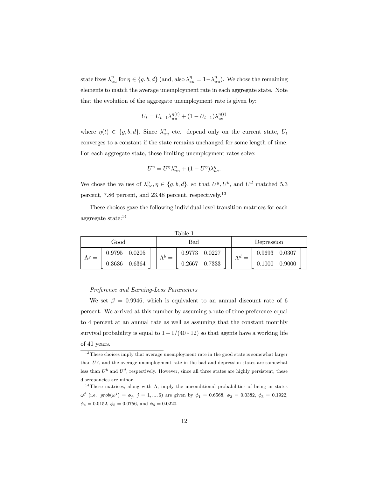state fixes  $\lambda_{uu}^{\eta}$  for  $\eta \in \{g, b, d\}$  (and, also  $\lambda_{eu}^{\eta} = 1 - \lambda_{uu}^{\eta}$ ). We chose the remaining elements to match the average unemployment rate in each aggregate state. Note that the evolution of the aggregate unemployment rate is given by:

$$
U_t = U_{t-1} \lambda_{uu}^{\eta(t)} + (1 - U_{t-1}) \lambda_{ue}^{\eta(t)}
$$

where  $\eta(t) \in \{g, b, d\}$ . Since  $\lambda_{uu}^{\eta}$  etc. depend only on the current state,  $U_t$ converges to a constant if the state remains unchanged for some length of time. For each aggregate state, these limiting unemployment rates solve:

$$
U^{\eta}=U^{\eta}\lambda_{uu}^{\eta}+(1-U^{\eta})\lambda_{ue}^{\eta}.
$$

We chose the values of  $\lambda_{ue}^{\eta}, \eta \in \{g, b, d\}$ , so that  $U^g, U^b$ , and  $U^d$  matched 5.3 percent, 7.86 percent, and 23.48 percent, respectively.13

These choices gave the following individual-level transition matrices for each aggregate state:14

| Table         |        |        |     |        |        |             |            |        |        |  |
|---------------|--------|--------|-----|--------|--------|-------------|------------|--------|--------|--|
| Good          |        |        |     | Bad    |        |             | Depression |        |        |  |
| $\Lambda^g =$ | 0.9795 | 0.0205 |     | 0.9773 | 0.0227 | $\Lambda^d$ |            | 0.9693 | 0.0307 |  |
|               | 0.3636 | 0.6364 | $=$ | 0.2667 | 0.7333 |             |            | 0.1000 | 0.9000 |  |

#### Preference and Earning-Loss Parameters

We set  $\beta = 0.9946$ , which is equivalent to an annual discount rate of 6 percent. We arrived at this number by assuming a rate of time preference equal to 4 percent at an annual rate as well as assuming that the constant monthly survival probability is equal to  $1-1/(40 \times 12)$  so that agents have a working life of 40 years.

 $13$  These choices imply that average unemployment rate in the good state is somewhat larger than  $U<sup>g</sup>$ , and the average unemployment rate in the bad and depression states are somewhat less than  $U^b$  and  $U^d$ , respectively. However, since all three states are highly persistent, these discrepancies are minor.

<sup>&</sup>lt;sup>14</sup> These matrices, along with  $\Lambda$ , imply the unconditional probabilities of being in states  $\omega^j$  (i.e.  $prob(\omega^j) = \phi_j$ ,  $j = 1, ..., 6$ ) are given by  $\phi_1 = 0.6568, \phi_2 = 0.0382, \phi_3 = 0.1922$ ,  $\phi_4 = 0.0152, \, \phi_5 = 0.0756,$  and  $\phi_6 = 0.0220$ .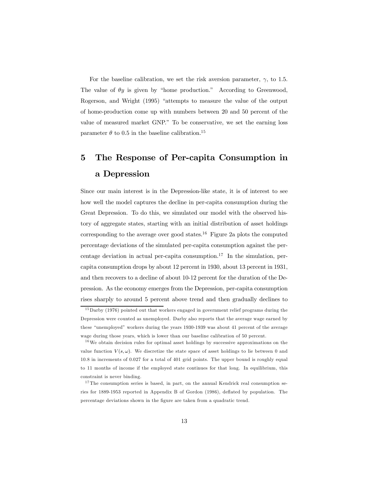For the baseline calibration, we set the risk aversion parameter,  $\gamma$ , to 1.5. The value of  $\theta y$  is given by "home production." According to Greenwood, Rogerson, and Wright (1995) "attempts to measure the value of the output of home-production come up with numbers between 20 and 50 percent of the value of measured market GNP." To be conservative, we set the earning loss parameter  $\theta$  to 0.5 in the baseline calibration.<sup>15</sup>

## 5 The Response of Per-capita Consumption in a Depression

Since our main interest is in the Depression-like state, it is of interest to see how well the model captures the decline in per-capita consumption during the Great Depression. To do this, we simulated our model with the observed history of aggregate states, starting with an initial distribution of asset holdings corresponding to the average over good states.<sup>16</sup> Figure 2a plots the computed percentage deviations of the simulated per-capita consumption against the percentage deviation in actual per-capita consumption.<sup>17</sup> In the simulation, percapita consumption drops by about 12 percent in 1930, about 13 percent in 1931, and then recovers to a decline of about 10-12 percent for the duration of the Depression. As the economy emerges from the Depression, per-capita consumption rises sharply to around 5 percent above trend and then gradually declines to

 $15$ Darby (1976) pointed out that workers engaged in government relief programs during the Depression were counted as unemployed. Darby also reports that the average wage earned by these "unemployed" workers during the years 1930-1939 was about 41 percent of the average wage during those years, which is lower than our baseline calibration of 50 percent.

 $16$ We obtain decision rules for optimal asset holdings by successive approximations on the value function  $V(s, \omega)$ . We discretize the state space of asset holdings to lie between 0 and 10.8 in increments of 0.027 for a total of 401 grid points. The upper bound is roughly equal to 11 months of income if the employed state continues for that long. In equilibrium, this constraint is never binding.

 $17$ The consumption series is based, in part, on the annual Kendrick real consumption series for 1889-1953 reported in Appendix B of Gordon (1986), deflated by population. The percentage deviations shown in the figure are taken from a quadratic trend.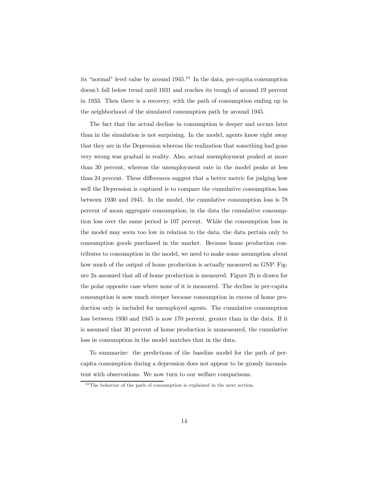its "normal" level value by around 1945.18 In the data, per-capita consumption doesn't fall below trend until 1931 and reaches its trough of around 19 percent in 1933. Then there is a recovery, with the path of consumption ending up in the neighborhood of the simulated consumption path by around 1945.

The fact that the actual decline in consumption is deeper and occurs later than in the simulation is not surprising. In the model, agents know right away that they are in the Depression whereas the realization that something had gone very wrong was gradual in reality. Also, actual unemployment peaked at more than 30 percent, whereas the unemployment rate in the model peaks at less than 24 percent. These differences suggest that a better metric for judging how well the Depression is captured is to compare the cumulative consumption loss between 1930 and 1945. In the model, the cumulative consumption loss is 78 percent of mean aggregate consumption; in the data the cumulative consumption loss over the same period is 107 percent. While the consumption loss in the model may seem too low in relation to the data, the data pertain only to consumption goods purchased in the market. Because home production contributes to consumption in the model, we need to make some assumption about how much of the output of home production is actually measured as GNP. Figure 2a assumed that all of home production is measured. Figure 2b is drawn for the polar opposite case where none of it is measured. The decline in per-capita consumption is now much steeper because consumption in excess of home production only is included for unemployed agents. The cumulative consumption loss between 1930 and 1945 is now 170 percent, greater than in the data. If it is assumed that 30 percent of home production is unmeasured, the cumulative loss in consumption in the model matches that in the data.

To summarize: the predictions of the baseline model for the path of percapita consumption during a depression does not appear to be grossly inconsistent with observations. We now turn to our welfare comparisons.

<sup>&</sup>lt;sup>18</sup> The behavior of the path of consumption is explained in the next section.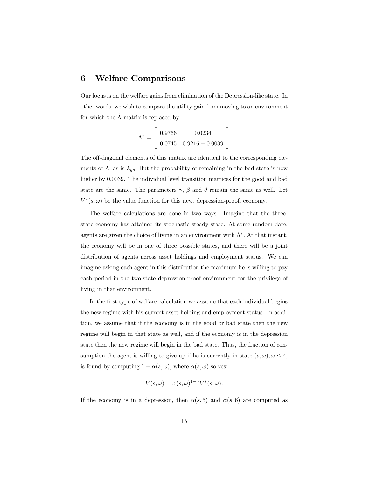#### 6 Welfare Comparisons

Our focus is on the welfare gains from elimination of the Depression-like state. In other words, we wish to compare the utility gain from moving to an environment for which the  $\widehat{\Lambda}$  matrix is replaced by

> 1  $\overline{1}$

$$
\Lambda^* = \begin{bmatrix} 0.9766 & 0.0234 \\ 0.0745 & 0.9216 + 0.0039 \end{bmatrix}
$$

The off-diagonal elements of this matrix are identical to the corresponding elements of  $\Lambda$ , as is  $\lambda_{gg}$ . But the probability of remaining in the bad state is now higher by 0.0039. The individual level transition matrices for the good and bad state are the same. The parameters  $\gamma$ ,  $\beta$  and  $\theta$  remain the same as well. Let  $V^*(s, \omega)$  be the value function for this new, depression-proof, economy.

The welfare calculations are done in two ways. Imagine that the threestate economy has attained its stochastic steady state. At some random date, agents are given the choice of living in an environment with  $\Lambda^*$ . At that instant, the economy will be in one of three possible states, and there will be a joint distribution of agents across asset holdings and employment status. We can imagine asking each agent in this distribution the maximum he is willing to pay each period in the two-state depression-proof environment for the privilege of living in that environment.

In the first type of welfare calculation we assume that each individual begins the new regime with his current asset-holding and employment status. In addition, we assume that if the economy is in the good or bad state then the new regime will begin in that state as well, and if the economy is in the depression state then the new regime will begin in the bad state. Thus, the fraction of consumption the agent is willing to give up if he is currently in state  $(s, \omega)$ ,  $\omega \leq 4$ , is found by computing  $1 - \alpha(s, \omega)$ , where  $\alpha(s, \omega)$  solves:

$$
V(s,\omega) = \alpha(s,\omega)^{1-\gamma} V^*(s,\omega).
$$

If the economy is in a depression, then  $\alpha(s, 5)$  and  $\alpha(s, 6)$  are computed as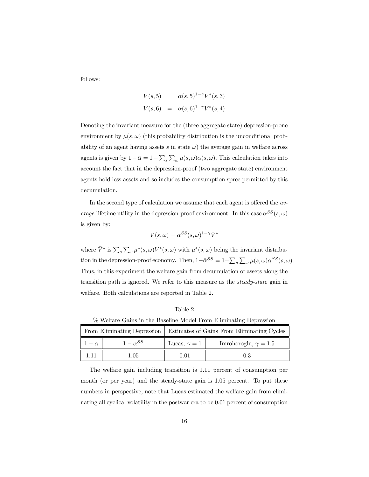follows:

$$
V(s,5) = \alpha(s,5)^{1-\gamma}V^*(s,3)
$$
  

$$
V(s,6) = \alpha(s,6)^{1-\gamma}V^*(s,4)
$$

Denoting the invariant measure for the (three aggregate state) depression-prone environment by  $\mu(s, \omega)$  (this probability distribution is the unconditional probability of an agent having assets s in state  $\omega$ ) the average gain in welfare across agents is given by  $1-\bar{\alpha}=1-\sum_{s}\sum_{\omega}\mu(s,\omega)\alpha(s,\omega)$ . This calculation takes into account the fact that in the depression-proof (two aggregate state) environment agents hold less assets and so includes the consumption spree permitted by this decumulation.

In the second type of calculation we assume that each agent is offered the av*erage* lifetime utility in the depression-proof environment. In this case  $\alpha^{SS}(s,\omega)$ is given by:

$$
V(s,\omega) = \alpha^{SS}(s,\omega)^{1-\gamma}\bar{V}^*
$$

where  $\bar{V}^*$  is  $\sum_s \sum_{\omega} \mu^*(s, \omega) V^*(s, \omega)$  with  $\mu^*(s, \omega)$  being the invariant distribution in the depression-proof economy. Then,  $1-\bar{\alpha}^{SS} = 1-\sum_{s}\sum_{\omega}\mu(s,\omega)\alpha^{SS}(s,\omega)$ . Thus, in this experiment the welfare gain from decumulation of assets along the transition path is ignored. We refer to this measure as the steady-state gain in welfare. Both calculations are reported in Table 2.

Table 2

% Welfare Gains in the Baseline Model From Eliminating Depression

|           |                 | From Eliminating Depression   Estimates of Gains From Eliminating Cycles |                             |  |
|-----------|-----------------|--------------------------------------------------------------------------|-----------------------------|--|
| $-\alpha$ | $1-\alpha^{SS}$ | Lucas, $\gamma = 1$                                                      | Imrohoroglu, $\gamma = 1.5$ |  |
|           | 1.05            | 0.01                                                                     | 0.3                         |  |

The welfare gain including transition is 1.11 percent of consumption per month (or per year) and the steady-state gain is 1.05 percent. To put these numbers in perspective, note that Lucas estimated the welfare gain from eliminating all cyclical volatility in the postwar era to be 0.01 percent of consumption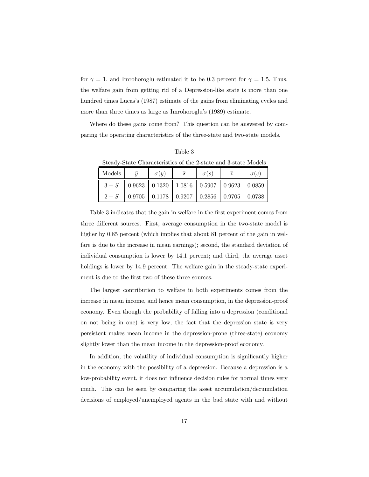for  $\gamma = 1$ , and Imrohoroglu estimated it to be 0.3 percent for  $\gamma = 1.5$ . Thus, the welfare gain from getting rid of a Depression-like state is more than one hundred times Lucas's (1987) estimate of the gains from eliminating cycles and more than three times as large as Imrohoroglu's (1989) estimate.

Where do these gains come from? This question can be answered by comparing the operating characteristics of the three-state and two-state models.

| Steady-State Characteristics of the 2-state and 3-state Models |           |             |                                                                            |             |                |             |  |  |  |
|----------------------------------------------------------------|-----------|-------------|----------------------------------------------------------------------------|-------------|----------------|-------------|--|--|--|
| Models                                                         | $\bar{u}$ | $\sigma(y)$ | $\overline{s}$                                                             | $\sigma(s)$ | $\overline{c}$ | $\sigma(c)$ |  |  |  |
| $3-S$                                                          |           |             | $0.9623$   $0.1320$   $1.0816$   $0.5907$   $0.9623$   $0.0859$            |             |                |             |  |  |  |
| $2-S$                                                          | 0.9705    |             | $\vert$ 0.1178 $\vert$ 0.9207 $\vert$ 0.2856 $\vert$ 0.9705 $\vert$ 0.0738 |             |                |             |  |  |  |

Table 3

Table 3 indicates that the gain in welfare in the first experiment comes from three different sources. First, average consumption in the two-state model is higher by 0.85 percent (which implies that about 81 percent of the gain in welfare is due to the increase in mean earnings); second, the standard deviation of individual consumption is lower by 14.1 percent; and third, the average asset holdings is lower by 14.9 percent. The welfare gain in the steady-state experiment is due to the first two of these three sources.

The largest contribution to welfare in both experiments comes from the increase in mean income, and hence mean consumption, in the depression-proof economy. Even though the probability of falling into a depression (conditional on not being in one) is very low, the fact that the depression state is very persistent makes mean income in the depression-prone (three-state) economy slightly lower than the mean income in the depression-proof economy.

In addition, the volatility of individual consumption is significantly higher in the economy with the possibility of a depression. Because a depression is a low-probability event, it does not influence decision rules for normal times very much. This can be seen by comparing the asset accumulation/decumulation decisions of employed/unemployed agents in the bad state with and without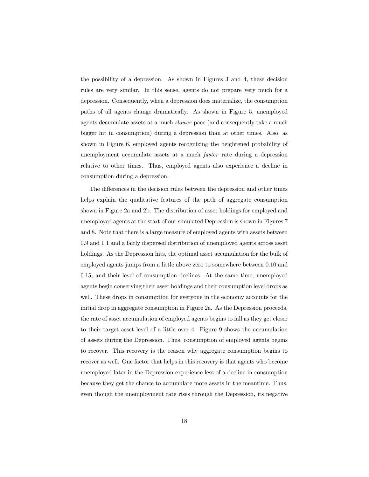the possibility of a depression. As shown in Figures 3 and 4, these decision rules are very similar. In this sense, agents do not prepare very much for a depression. Consequently, when a depression does materialize, the consumption paths of all agents change dramatically. As shown in Figure 5, unemployed agents decumulate assets at a much slower pace (and consequently take a much bigger hit in consumption) during a depression than at other times. Also, as shown in Figure 6, employed agents recognizing the heightened probability of unemployment accumulate assets at a much faster rate during a depression relative to other times. Thus, employed agents also experience a decline in consumption during a depression.

The differences in the decision rules between the depression and other times helps explain the qualitative features of the path of aggregate consumption shown in Figure 2a and 2b. The distribution of asset holdings for employed and unemployed agents at the start of our simulated Depression is shown in Figures 7 and 8. Note that there is a large measure of employed agents with assets between 0.9 and 1.1 and a fairly dispersed distribution of unemployed agents across asset holdings. As the Depression hits, the optimal asset accumulation for the bulk of employed agents jumps from a little above zero to somewhere between 0.10 and 0.15, and their level of consumption declines. At the same time, unemployed agents begin conserving their asset holdings and their consumption level drops as well. These drops in consumption for everyone in the economy accounts for the initial drop in aggregate consumption in Figure 2a. As the Depression proceeds, the rate of asset accumulation of employed agents begins to fall as they get closer to their target asset level of a little over 4. Figure 9 shows the accumulation of assets during the Depression. Thus, consumption of employed agents begins to recover. This recovery is the reason why aggregate consumption begins to recover as well. One factor that helps in this recovery is that agents who become unemployed later in the Depression experience less of a decline in consumption because they get the chance to accumulate more assets in the meantime. Thus, even though the unemployment rate rises through the Depression, its negative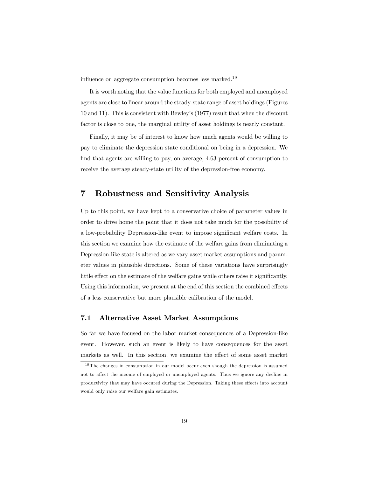influence on aggregate consumption becomes less marked.19

It is worth noting that the value functions for both employed and unemployed agents are close to linear around the steady-state range of asset holdings (Figures 10 and 11). This is consistent with Bewley's (1977) result that when the discount factor is close to one, the marginal utility of asset holdings is nearly constant.

Finally, it may be of interest to know how much agents would be willing to pay to eliminate the depression state conditional on being in a depression. We find that agents are willing to pay, on average, 4.63 percent of consumption to receive the average steady-state utility of the depression-free economy.

#### 7 Robustness and Sensitivity Analysis

Up to this point, we have kept to a conservative choice of parameter values in order to drive home the point that it does not take much for the possibility of a low-probability Depression-like event to impose significant welfare costs. In this section we examine how the estimate of the welfare gains from eliminating a Depression-like state is altered as we vary asset market assumptions and parameter values in plausible directions. Some of these variations have surprisingly little effect on the estimate of the welfare gains while others raise it significantly. Using this information, we present at the end of this section the combined effects of a less conservative but more plausible calibration of the model.

#### 7.1 Alternative Asset Market Assumptions

So far we have focused on the labor market consequences of a Depression-like event. However, such an event is likely to have consequences for the asset markets as well. In this section, we examine the effect of some asset market

 $19$ The changes in consumption in our model occur even though the depression is assumed not to affect the income of employed or unemployed agents. Thus we ignore any decline in productivity that may have occured during the Depression. Taking these effects into account would only raise our welfare gain estimates.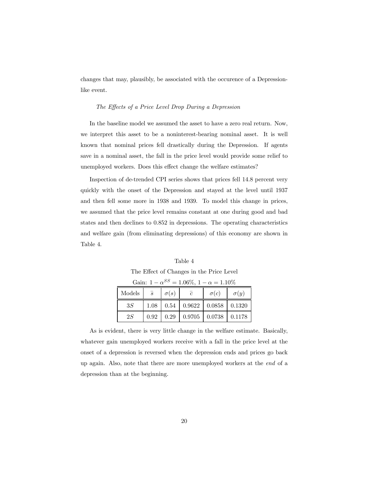changes that may, plausibly, be associated with the occurence of a Depressionlike event.

#### The Effects of a Price Level Drop During a Depression

In the baseline model we assumed the asset to have a zero real return. Now, we interpret this asset to be a noninterest-bearing nominal asset. It is well known that nominal prices fell drastically during the Depression. If agents save in a nominal asset, the fall in the price level would provide some relief to unemployed workers. Does this effect change the welfare estimates?

Inspection of de-trended CPI series shows that prices fell 14.8 percent very quickly with the onset of the Depression and stayed at the level until 1937 and then fell some more in 1938 and 1939. To model this change in prices, we assumed that the price level remains constant at one during good and bad states and then declines to 0.852 in depressions. The operating characteristics and welfare gain (from eliminating depressions) of this economy are shown in Table 4.

| Table 4                                                |
|--------------------------------------------------------|
| The Effect of Changes in the Price Level               |
| Gain: $1 - \alpha^{SS} = 1.06\%$ $1 - \alpha = 1.10\%$ |

| aan. r<br>$\mathbf{f}$<br>$-1.0070$ , 1<br>$u = 1.1070$ |                |             |            |                                           |             |  |  |  |
|---------------------------------------------------------|----------------|-------------|------------|-------------------------------------------|-------------|--|--|--|
| Models                                                  | $\overline{s}$ | $\sigma(s)$ | $\epsilon$ | $\sigma(c)$                               | $\sigma(u)$ |  |  |  |
| 3S                                                      | 1.08           | 0.54        |            | $0.9622$   $0.0858$   $0.1320$            |             |  |  |  |
| 2S                                                      | 0.92           | 0.29        |            | $\mid$ 0.9705 $\mid$ 0.0738 $\mid$ 0.1178 |             |  |  |  |

As is evident, there is very little change in the welfare estimate. Basically, whatever gain unemployed workers receive with a fall in the price level at the onset of a depression is reversed when the depression ends and prices go back up again. Also, note that there are more unemployed workers at the end of a depression than at the beginning.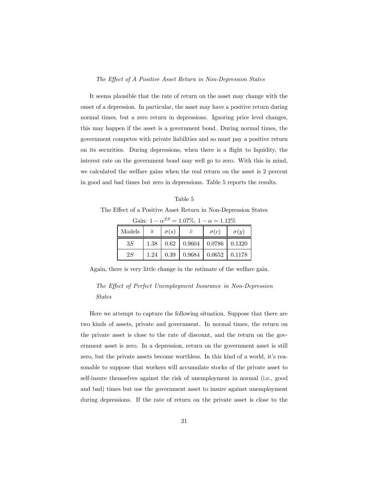#### The Effect of A Positive Asset Return in Non-Depression States

It seems plausible that the rate of return on the asset may change with the onset of a depression. In particular, the asset may have a positive return during normal times, but a zero return in depressions. Ignoring price level changes, this may happen if the asset is a government bond. During normal times, the government competes with private liabilities and so must pay a positive return on its securities. During depressions, when there is a flight to liquidity, the interest rate on the government bond may well go to zero. With this in mind, we calculated the welfare gains when the real return on the asset is 2 percent in good and bad times but zero in depressions. Table 5 reports the results.

| Table 5                                                        |  |
|----------------------------------------------------------------|--|
| The Effect of a Positive Asset Return in Non-Depression States |  |

Gain:  $1 - \alpha^{SS} = 1.07\%$ ,  $1 - \alpha = 1.12\%$ 

| Models | $\overline{s}$ | $\sigma(s)$ | $\epsilon$ | $\sigma(c)$                 | $\sigma(y)$ |
|--------|----------------|-------------|------------|-----------------------------|-------------|
| 3S     | 1.38           | 0.62        | 0.9604     | $\vert 0.0786 \vert 0.1320$ |             |
| 2S     | 1.24           | 0.39        | 0.9684     | 0.0652                      | 0.1178      |

Again, there is very little change in the estimate of the welfare gain.

#### The Effect of Perfect Unemployment Insurance in Non-Depression States

Here we attempt to capture the following situation. Suppose that there are two kinds of assets, private and government. In normal times, the return on the private asset is close to the rate of discount, and the return on the government asset is zero. In a depression, return on the government asset is still zero, but the private assets become worthless. In this kind of a world, it's reasonable to suppose that workers will accumulate stocks of the private asset to self-insure themselves against the risk of unemployment in normal (i.e., good and bad) times but use the government asset to insure against unemployment during depressions. If the rate of return on the private asset is close to the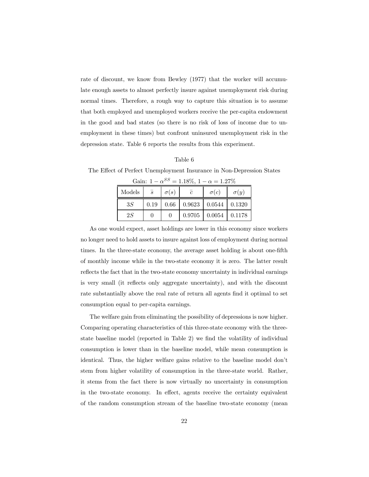rate of discount, we know from Bewley (1977) that the worker will accumulate enough assets to almost perfectly insure against unemployment risk during normal times. Therefore, a rough way to capture this situation is to assume that both employed and unemployed workers receive the per-capita endowment in the good and bad states (so there is no risk of loss of income due to unemployment in these times) but confront uninsured unemployment risk in the depression state. Table 6 reports the results from this experiment.

#### Table 6

|        | Gain: $1 - \alpha^{SS} = 1.18\%, 1 - \alpha = 1.27\%$ |             |                |                                   |             |  |  |  |  |
|--------|-------------------------------------------------------|-------------|----------------|-----------------------------------|-------------|--|--|--|--|
| Models | $\overline{s}$                                        | $\sigma(s)$ | $\overline{c}$ | $\sigma(c)$                       | $\sigma(y)$ |  |  |  |  |
| 3S     | 0.19                                                  |             |                | $0.66$   0.9623   0.0544   0.1320 |             |  |  |  |  |
| 2S     |                                                       |             |                | $0.9705$   $0.0054$   $0.1178$    |             |  |  |  |  |

The Effect of Perfect Unemployment Insurance in Non-Depression States

As one would expect, asset holdings are lower in this economy since workers no longer need to hold assets to insure against loss of employment during normal times. In the three-state economy, the average asset holding is about one-fifth of monthly income while in the two-state economy it is zero. The latter result reflects the fact that in the two-state economy uncertainty in individual earnings is very small (it reflects only aggregate uncertainty), and with the discount rate substantially above the real rate of return all agents find it optimal to set consumption equal to per-capita earnings.

The welfare gain from eliminating the possibility of depressions is now higher. Comparing operating characteristics of this three-state economy with the threestate baseline model (reported in Table 2) we find the volatility of individual consumption is lower than in the baseline model, while mean consumption is identical. Thus, the higher welfare gains relative to the baseline model don't stem from higher volatility of consumption in the three-state world. Rather, it stems from the fact there is now virtually no uncertainty in consumption in the two-state economy. In effect, agents receive the certainty equivalent of the random consumption stream of the baseline two-state economy (mean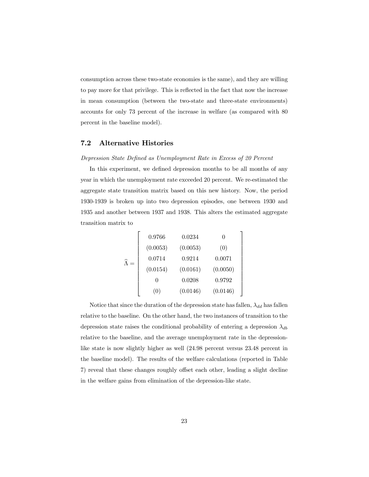consumption across these two-state economies is the same), and they are willing to pay more for that privilege. This is reflected in the fact that now the increase in mean consumption (between the two-state and three-state environments) accounts for only 73 percent of the increase in welfare (as compared with 80 percent in the baseline model).

#### 7.2 Alternative Histories

#### Depression State Defined as Unemployment Rate in Excess of 20 Percent

In this experiment, we defined depression months to be all months of any year in which the unemployment rate exceeded 20 percent. We re-estimated the aggregate state transition matrix based on this new history. Now, the period 1930-1939 is broken up into two depression episodes, one between 1930 and 1935 and another between 1937 and 1938. This alters the estimated aggregate transition matrix to

$$
\widehat{\Lambda} = \begin{bmatrix}\n0.9766 & 0.0234 & 0 \\
(0.0053) & (0.0053) & (0) \\
0.0714 & 0.9214 & 0.0071 \\
(0.0154) & (0.0161) & (0.0050) \\
0 & 0.0208 & 0.9792 \\
(0) & (0.0146) & (0.0146)\n\end{bmatrix}
$$

Notice that since the duration of the depression state has fallen,  $\lambda_{dd}$  has fallen relative to the baseline. On the other hand, the two instances of transition to the depression state raises the conditional probability of entering a depression  $\lambda_{db}$ relative to the baseline, and the average unemployment rate in the depressionlike state is now slightly higher as well (24.98 percent versus 23.48 percent in the baseline model). The results of the welfare calculations (reported in Table 7) reveal that these changes roughly offset each other, leading a slight decline in the welfare gains from elimination of the depression-like state.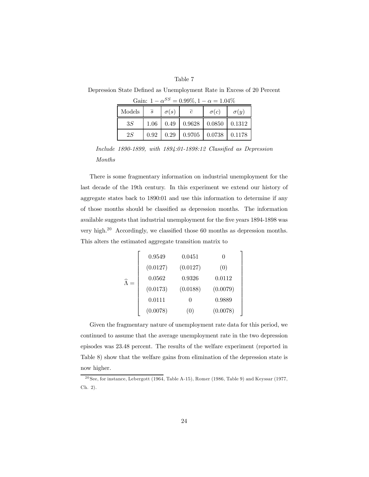#### Table 7

| Gain: $1 - \alpha^{SS} = 0.99\%, 1 - \alpha = 1.04\%$ |                |             |                                                      |             |             |  |  |  |
|-------------------------------------------------------|----------------|-------------|------------------------------------------------------|-------------|-------------|--|--|--|
| Models                                                | $\overline{s}$ | $\sigma(s)$ | $\overline{c}$                                       | $\sigma(c)$ | $\sigma(y)$ |  |  |  |
| 3S                                                    |                |             | $1.06 \mid 0.49 \mid 0.9628 \mid 0.0850 \mid 0.1312$ |             |             |  |  |  |
| 2S                                                    | 0.92           |             | $\vert 0.29 \vert 0.9705 \vert 0.0738 \vert 0.1178$  |             |             |  |  |  |

Depression State Defined as Unemployment Rate in Excess of 20 Percent

Include 1890-1899, with 1894:01-1898:12 Classified as Depression Months

There is some fragmentary information on industrial unemployment for the last decade of the 19th century. In this experiment we extend our history of aggregate states back to 1890:01 and use this information to determine if any of those months should be classified as depression months. The information available suggests that industrial unemployment for the five years 1894-1898 was very high.20 Accordingly, we classified those 60 months as depression months. This alters the estimated aggregate transition matrix to

$$
\widehat{\Lambda} = \left[\begin{array}{cccc} 0.9549 & 0.0451 & 0 \\ (0.0127) & (0.0127) & (0) \\ 0.0562 & 0.9326 & 0.0112 \\ (0.0173) & (0.0188) & (0.0079) \\ 0.0111 & 0 & 0.9889 \\ (0.0078) & (0) & (0.0078) \end{array}\right]
$$

Given the fragmentary nature of unemployment rate data for this period, we continued to assume that the average unemployment rate in the two depression episodes was 23.48 percent. The results of the welfare experiment (reported in Table 8) show that the welfare gains from elimination of the depression state is now higher.

 $\frac{20}{2}$ See, for instance, Lebergott (1964, Table A-15), Romer (1986, Table 9) and Keyssar (1977, Ch. 2).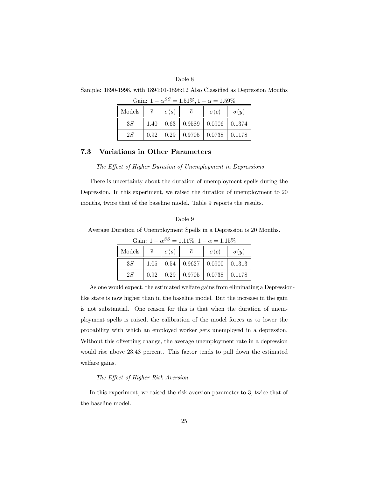#### Table 8

| Gain: $1 - \alpha^{SS} = 1.51\%, 1 - \alpha = 1.59\%$ |                |             |           |                                                     |                                         |  |  |  |
|-------------------------------------------------------|----------------|-------------|-----------|-----------------------------------------------------|-----------------------------------------|--|--|--|
| Models                                                | $\overline{s}$ | $\sigma(s)$ | $\bar{c}$ | $\sigma(c)$                                         | $\sigma(y)$                             |  |  |  |
| 3S                                                    | 1.40           |             |           | $\vert 0.63 \vert 0.9589 \vert 0.0906 \vert 0.1374$ |                                         |  |  |  |
| 2S                                                    | 0.92           |             |           |                                                     | $0.29$   $0.9705$   $0.0738$   $0.1178$ |  |  |  |

Sample: 1890-1998, with 1894:01-1898:12 Also Classified as Depression Months

7.3 Variations in Other Parameters

The Effect of Higher Duration of Unemployment in Depressions

There is uncertainty about the duration of unemployment spells during the Depression. In this experiment, we raised the duration of unemployment to 20 months, twice that of the baseline model. Table 9 reports the results.

#### Table 9

Average Duration of Unemployment Spells in a Depression is 20 Months.

| Gain: $1 - \alpha^{00} = 1.11\%$ , $1 - \alpha = 1.15\%$ |                |             |                              |                             |               |  |  |  |
|----------------------------------------------------------|----------------|-------------|------------------------------|-----------------------------|---------------|--|--|--|
| Models                                                   | $\overline{s}$ | $\sigma(s)$ | $\overline{c}$               | $\sigma(c)$                 | $\sigma(y)$   |  |  |  |
| 3S                                                       | 1.05           |             | $0.54$   $0.9627$   $0.0900$ |                             | $\mid$ 0.1313 |  |  |  |
| 2S                                                       | 0.92           | 0.29        | 0.9705                       | $\vert 0.0738 \vert 0.1178$ |               |  |  |  |

 $SS = 1.1107 + 1 = 1.1507$ 

As one would expect, the estimated welfare gains from eliminating a Depressionlike state is now higher than in the baseline model. But the increase in the gain is not substantial. One reason for this is that when the duration of unemployment spells is raised, the calibration of the model forces us to lower the probability with which an employed worker gets unemployed in a depression. Without this offsetting change, the average unemployment rate in a depression would rise above 23.48 percent. This factor tends to pull down the estimated welfare gains.

#### The Effect of Higher Risk Aversion

In this experiment, we raised the risk aversion parameter to 3, twice that of the baseline model.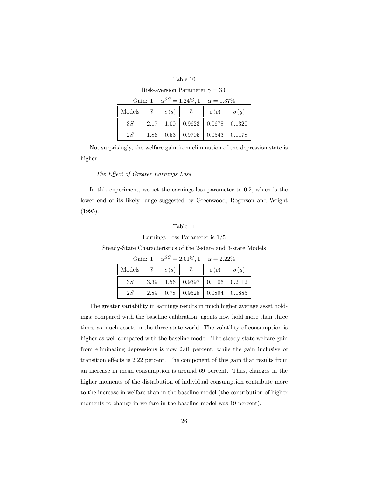#### Table 10

Risk-aversion Parameter  $\gamma = 3.0$ 

| Gain: $1 - \alpha^{SS} = 1.24\%, 1 - \alpha = 1.37\%$ |                   |             |                |                                            |             |  |  |  |
|-------------------------------------------------------|-------------------|-------------|----------------|--------------------------------------------|-------------|--|--|--|
| Models                                                | $\overline{s}$    | $\sigma(s)$ | $\overline{c}$ | $\sigma(c)$                                | $\sigma(y)$ |  |  |  |
| 3S                                                    | 2.17 <sup>1</sup> |             |                | $1.00 \mid 0.9623 \mid 0.0678 \mid 0.1320$ |             |  |  |  |
| 2S                                                    | 1.86              |             |                | $0.53$   $0.9705$   $0.0543$   $0.1178$    |             |  |  |  |

Not surprisingly, the welfare gain from elimination of the depression state is higher.

#### The Effect of Greater Earnings Loss

In this experiment, we set the earnings-loss parameter to 0.2, which is the lower end of its likely range suggested by Greenwood, Rogerson and Wright (1995).

#### Table 11

#### Earnings-Loss Parameter is 1/5

Steady-State Characteristics of the 2-state and 3-state Models

Gain:  $1 - \alpha^{SS} = 2.01\%, 1 - \alpha = 2.22\%$ 

| Models | $\overline{s}$ | $\sigma(s)$ | $\mathcal{C}$                           | $\sigma(c)$ | $\sigma(y)$ |
|--------|----------------|-------------|-----------------------------------------|-------------|-------------|
| 3S     | 3.39           |             | $1.56 \mid 0.9397 \mid 0.1106 \mid$     |             | 0.2112      |
| 2S     | 2.89           |             | $0.78$   $0.9528$   $0.0894$   $0.1885$ |             |             |

The greater variability in earnings results in much higher average asset holdings; compared with the baseline calibration, agents now hold more than three times as much assets in the three-state world. The volatility of consumption is higher as well compared with the baseline model. The steady-state welfare gain from eliminating depressions is now 2.01 percent, while the gain inclusive of transition effects is 2.22 percent. The component of this gain that results from an increase in mean consumption is around 69 percent. Thus, changes in the higher moments of the distribution of individual consumption contribute more to the increase in welfare than in the baseline model (the contribution of higher moments to change in welfare in the baseline model was 19 percent).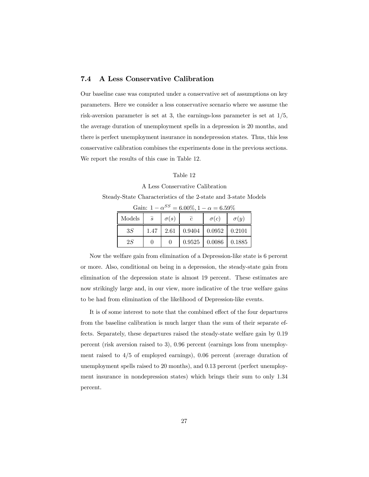#### 7.4 A Less Conservative Calibration

Our baseline case was computed under a conservative set of assumptions on key parameters. Here we consider a less conservative scenario where we assume the risk-aversion parameter is set at 3, the earnings-loss parameter is set at 1/5, the average duration of unemployment spells in a depression is 20 months, and there is perfect unemployment insurance in nondepression states. Thus, this less conservative calibration combines the experiments done in the previous sections. We report the results of this case in Table 12.

#### Table 12

#### A Less Conservative Calibration

Steady-State Characteristics of the 2-state and 3-state Models

| Models | $\overline{s}$ | $\sigma(s)$ | $\epsilon$          | $\sigma(c)$ | $\sigma(y)$ |
|--------|----------------|-------------|---------------------|-------------|-------------|
| 3S     | 1.47           | 2.61        | $0.9404$   $0.0952$ |             | 0.2101      |
| 2S     |                | $\theta$    | 0.9525              | 0.0086      | 0.1885      |

Gain:  $1 - \alpha^{SS} = 6.00\%, 1 - \alpha = 6.59\%$ 

Now the welfare gain from elimination of a Depression-like state is 6 percent or more. Also, conditional on being in a depression, the steady-state gain from elimination of the depression state is almost 19 percent. These estimates are now strikingly large and, in our view, more indicative of the true welfare gains to be had from elimination of the likelihood of Depression-like events.

It is of some interest to note that the combined effect of the four departures from the baseline calibration is much larger than the sum of their separate effects. Separately, these departures raised the steady-state welfare gain by 0.19 percent (risk aversion raised to 3), 0.96 percent (earnings loss from unemployment raised to 4/5 of employed earnings), 0.06 percent (average duration of unemployment spells raised to 20 months), and 0.13 percent (perfect unemployment insurance in nondepression states) which brings their sum to only 1.34 percent.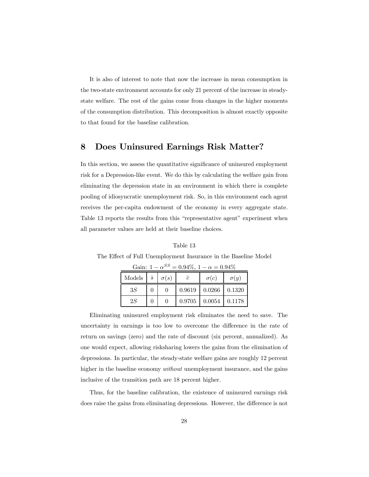It is also of interest to note that now the increase in mean consumption in the two-state environment accounts for only 21 percent of the increase in steadystate welfare. The rest of the gains come from changes in the higher moments of the consumption distribution. This decomposition is almost exactly opposite to that found for the baseline calibration.

#### 8 Does Uninsured Earnings Risk Matter?

In this section, we assess the quantitative significance of uninsured employment risk for a Depression-like event. We do this by calculating the welfare gain from eliminating the depression state in an environment in which there is complete pooling of idiosyncratic unemployment risk. So, in this environment each agent receives the per-capita endowment of the economy in every aggregate state. Table 13 reports the results from this "representative agent" experiment when all parameter values are held at their baseline choices.

| The Effect of Full Unemployment Insurance in the Baseline Model |                                                                                                                               |  |  |  |  |  |  |
|-----------------------------------------------------------------|-------------------------------------------------------------------------------------------------------------------------------|--|--|--|--|--|--|
| Gain: $1 - \alpha^{SS} = 0.94\%, 1 - \alpha = 0.94\%$           |                                                                                                                               |  |  |  |  |  |  |
|                                                                 | $\begin{array}{ c c c c c c c c c } \hline \text{Models} & \bar{s} & \sigma(s) & \bar{c} & \sigma(c) & \sigma(y) \end{array}$ |  |  |  |  |  |  |

 $3S \begin{bmatrix} 0 & 0 \\ 0 & 0 \\ 0 & 0 \end{bmatrix}$  0.9619 0.0266 0.1320 2S 0 0 0.9705 0.0054 0.1178

Table 13

| Eliminating uninsured employment risk eliminates the need to save. The              |
|-------------------------------------------------------------------------------------|
| uncertainty in earnings is too low to overcome the difference in the rate of        |
| return on savings (zero) and the rate of discount (six percent, annualized). As     |
| one would expect, allowing risksharing lowers the gains from the elimination of     |
| depressions. In particular, the steady-state welfare gains are roughly 12 percent   |
| higher in the baseline economy <i>without</i> unemployment insurance, and the gains |
| inclusive of the transition path are 18 percent higher.                             |

Thus, for the baseline calibration, the existence of uninsured earnings risk does raise the gains from eliminating depressions. However, the difference is not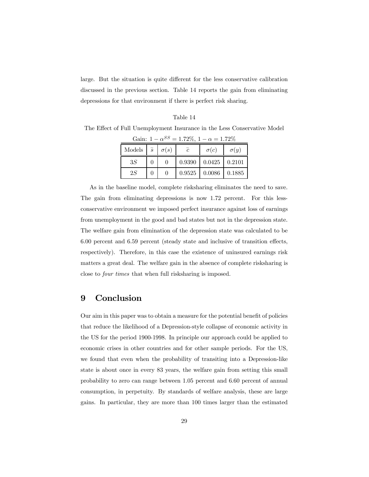large. But the situation is quite different for the less conservative calibration discussed in the previous section. Table 14 reports the gain from eliminating depressions for that environment if there is perfect risk sharing.

#### Table 14

The Effect of Full Unemployment Insurance in the Less Conservative Model

| Gain: $1 - \alpha^{SS} = 1.72\%, 1 - \alpha = 1.72\%$ |  |   |  |                                  |             |  |  |
|-------------------------------------------------------|--|---|--|----------------------------------|-------------|--|--|
| Models $\overline{s}$ $\sigma(s)$                     |  |   |  | $\sigma(c)$                      | $\sigma(y)$ |  |  |
| 3S                                                    |  | 0 |  | $0.9390 \mid 0.0425 \mid 0.2101$ |             |  |  |

 $2S \quad | \quad 0 \quad | \quad 0.9525 \quad | \quad 0.0086 \quad | \quad 0.1885$ 

As in the baseline model, complete risksharing eliminates the need to save. The gain from eliminating depressions is now 1.72 percent. For this lessconservative environment we imposed perfect insurance against loss of earnings from unemployment in the good and bad states but not in the depression state. The welfare gain from elimination of the depression state was calculated to be 6.00 percent and 6.59 percent (steady state and inclusive of transition effects, respectively). Therefore, in this case the existence of uninsured earnings risk matters a great deal. The welfare gain in the absence of complete risksharing is close to four times that when full risksharing is imposed.

#### 9 Conclusion

Our aim in this paper was to obtain a measure for the potential benefit of policies that reduce the likelihood of a Depression-style collapse of economic activity in the US for the period 1900-1998. In principle our approach could be applied to economic crises in other countries and for other sample periods. For the US, we found that even when the probability of transiting into a Depression-like state is about once in every 83 years, the welfare gain from setting this small probability to zero can range between 1.05 percent and 6.60 percent of annual consumption, in perpetuity. By standards of welfare analysis, these are large gains. In particular, they are more than 100 times larger than the estimated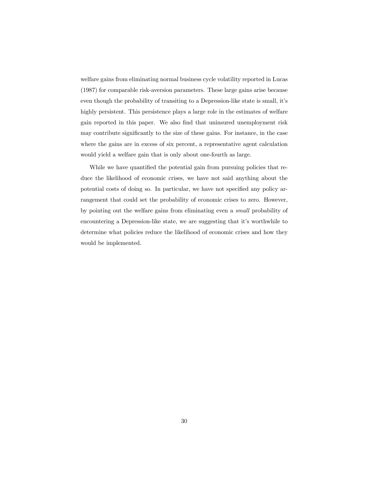welfare gains from eliminating normal business cycle volatility reported in Lucas (1987) for comparable risk-aversion parameters. These large gains arise because even though the probability of transiting to a Depression-like state is small, it's highly persistent. This persistence plays a large role in the estimates of welfare gain reported in this paper. We also find that uninsured unemployment risk may contribute significantly to the size of these gains. For instance, in the case where the gains are in excess of six percent, a representative agent calculation would yield a welfare gain that is only about one-fourth as large.

While we have quantified the potential gain from pursuing policies that reduce the likelihood of economic crises, we have not said anything about the potential costs of doing so. In particular, we have not specified any policy arrangement that could set the probability of economic crises to zero. However, by pointing out the welfare gains from eliminating even a small probability of encountering a Depression-like state, we are suggesting that it's worthwhile to determine what policies reduce the likelihood of economic crises and how they would be implemented.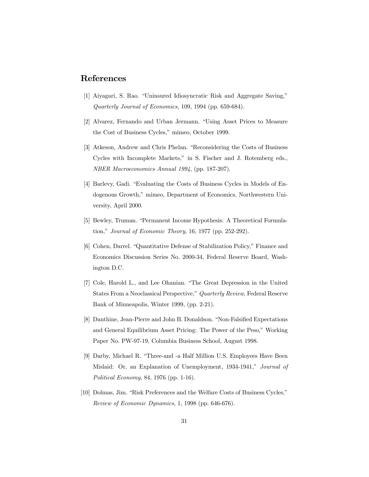#### References

- [1] Aiyagari, S. Rao. "Uninsured Idiosyncratic Risk and Aggregate Saving," Quarterly Journal of Economics, 109, 1994 (pp. 659-684).
- [2] Alvarez, Fernando and Urban Jermann. "Using Asset Prices to Measure the Cost of Business Cycles," mimeo, October 1999.
- [3] Atkeson, Andrew and Chris Phelan. "Reconsidering the Costs of Business Cycles with Incomplete Markets," in S. Fischer and J. Rotemberg eds., NBER Macroeconomics Annual 1994, (pp. 187-207).
- [4] Barlevy, Gadi. "Evaluating the Costs of Business Cycles in Models of Endogenous Growth," mimeo, Department of Economics, Northwestern University, April 2000.
- [5] Bewley, Truman. "Permanent Income Hypothesis: A Theoretical Formulation," Journal of Economic Theory, 16, 1977 (pp. 252-292).
- [6] Cohen, Darrel. "Quantitative Defense of Stabilization Policy," Finance and Economics Discussion Series No. 2000-34, Federal Reserve Board, Washington D.C.
- [7] Cole, Harold L., and Lee Ohanian. "The Great Depression in the United States From a Neoclassical Perspective," Quarterly Review, Federal Reserve Bank of Minneapolis, Winter 1999, (pp. 2-21).
- [8] Danthine, Jean-Pierre and John B. Donaldson. "Non-Falsified Expectations and General Equilibrium Asset Pricing: The Power of the Peso," Working Paper No. PW-97-19, Columbia Business School, August 1998.
- [9] Darby, Michael R. "Three-and -a Half Million U.S. Employees Have Been Mislaid: Or, an Explanation of Unemployment, 1934-1941," Journal of Political Economy, 84, 1976 (pp. 1-16).
- [10] Dolmas, Jim. "Risk Preferences and the Welfare Costs of Business Cycles," Review of Economic Dynamics, 1, 1998 (pp. 646-676).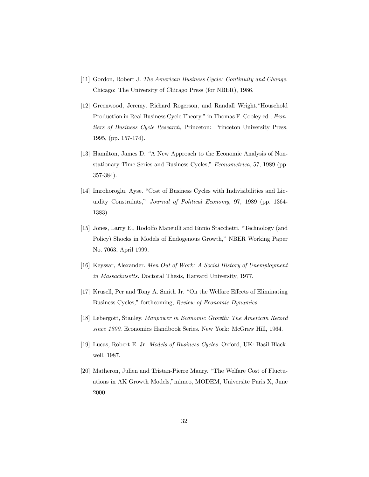- [11] Gordon, Robert J. The American Business Cycle: Continuity and Change. Chicago: The University of Chicago Press (for NBER), 1986.
- [12] Greenwood, Jeremy, Richard Rogerson, and Randall Wright."Household Production in Real Business Cycle Theory," in Thomas F. Cooley ed., Frontiers of Business Cycle Research, Princeton: Princeton University Press, 1995, (pp. 157-174).
- [13] Hamilton, James D. "A New Approach to the Economic Analysis of Nonstationary Time Series and Business Cycles," Econometrica, 57, 1989 (pp. 357-384).
- [14] Imrohoroglu, Ayse. "Cost of Business Cycles with Indivisibilities and Liquidity Constraints," Journal of Political Economy, 97, 1989 (pp. 1364- 1383).
- [15] Jones, Larry E., Rodolfo Maneulli and Ennio Stacchetti. "Technology (and Policy) Shocks in Models of Endogenous Growth," NBER Working Paper No. 7063, April 1999.
- [16] Keyssar, Alexander. Men Out of Work: A Social History of Unemployment in Massachusetts. Doctoral Thesis, Harvard University, 1977.
- [17] Krusell, Per and Tony A. Smith Jr. "On the Welfare Effects of Eliminating Business Cycles," forthcoming, Review of Economic Dynamics.
- [18] Lebergott, Stanley. Manpower in Economic Growth: The American Record since 1800. Economics Handbook Series. New York: McGraw Hill, 1964.
- [19] Lucas, Robert E. Jr. Models of Business Cycles. Oxford, UK: Basil Blackwell, 1987.
- [20] Matheron, Julien and Tristan-Pierre Maury. "The Welfare Cost of Fluctuations in AK Growth Models,"mimeo, MODEM, Universite Paris X, June 2000.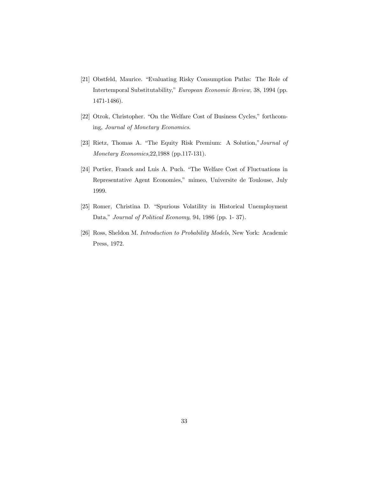- [21] Obstfeld, Maurice. "Evaluating Risky Consumption Paths: The Role of Intertemporal Substitutability," European Economic Review, 38, 1994 (pp. 1471-1486).
- [22] Otrok, Christopher. "On the Welfare Cost of Business Cycles," forthcoming, Journal of Monetary Economics.
- [23] Rietz, Thomas A. "The Equity Risk Premium: A Solution,"Journal of Monetary Economics,22,1988 (pp.117-131).
- [24] Portier, Franck and Luis A. Puch. "The Welfare Cost of Fluctuations in Representative Agent Economies," mimeo, Universite de Toulouse, July 1999.
- [25] Romer, Christina D. "Spurious Volatility in Historical Unemployment Data," Journal of Political Economy, 94, 1986 (pp. 1- 37).
- [26] Ross, Sheldon M. Introduction to Probability Models, New York: Academic Press, 1972.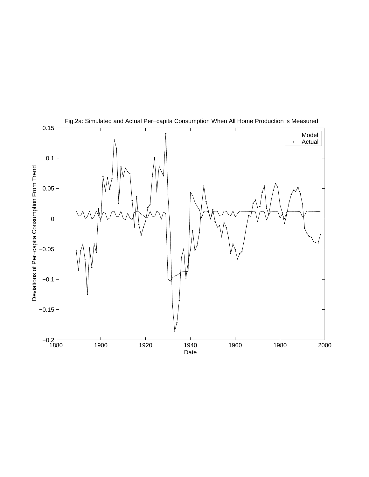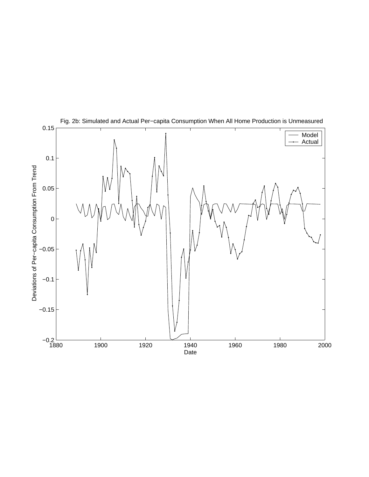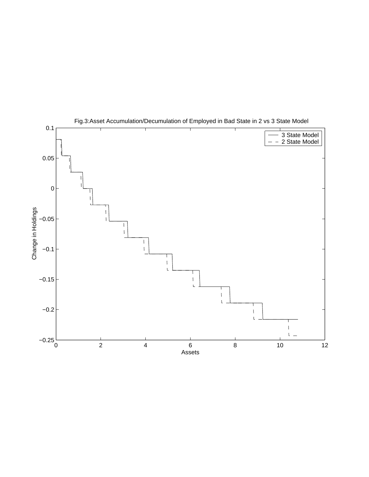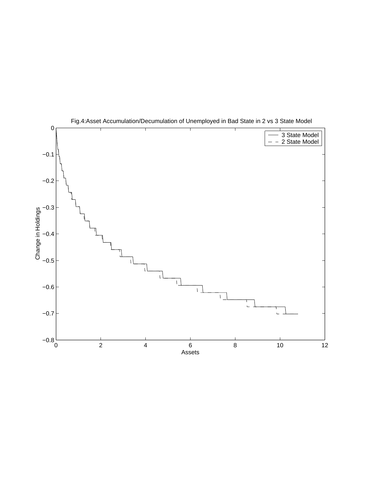

Fig.4:Asset Accumulation/Decumulation of Unemployed in Bad State in 2 vs 3 State Model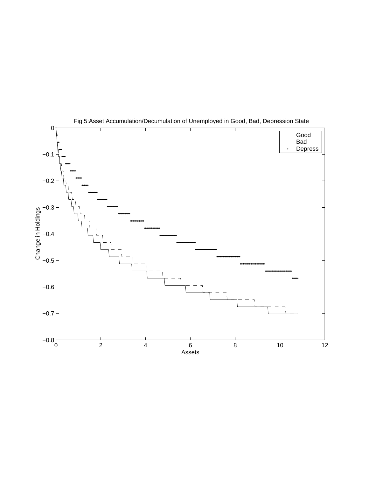

Fig.5:Asset Accumulation/Decumulation of Unemployed in Good, Bad, Depression State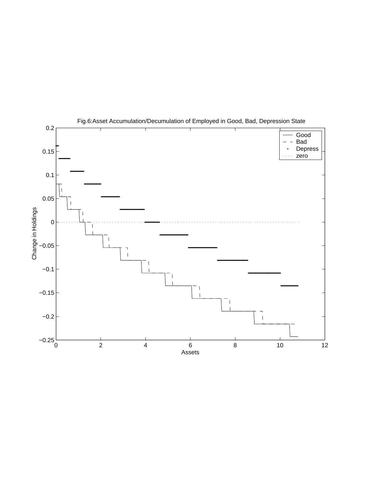

Fig.6:Asset Accumulation/Decumulation of Employed in Good, Bad, Depression State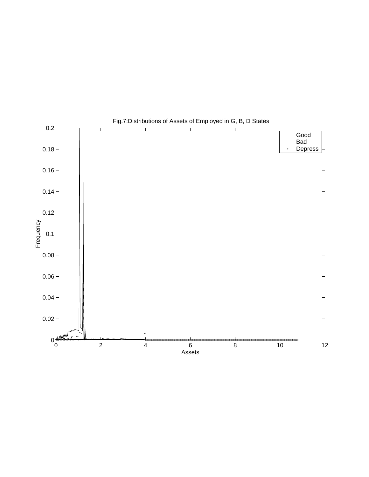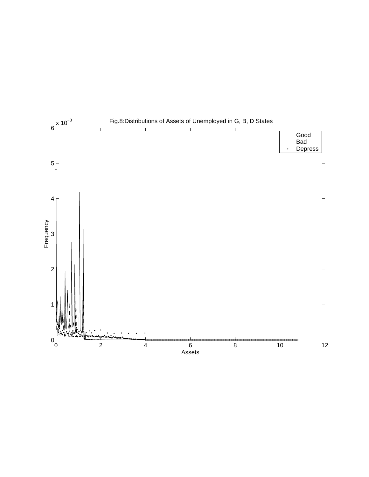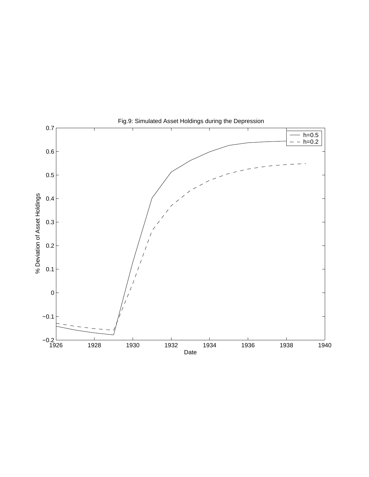

Fig.9: Simulated Asset Holdings during the Depression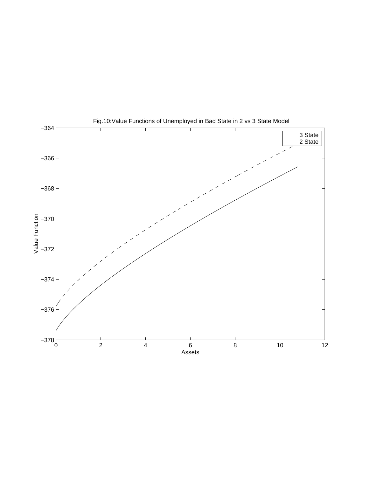

Fig.10:Value Functions of Unemployed in Bad State in 2 vs 3 State Model